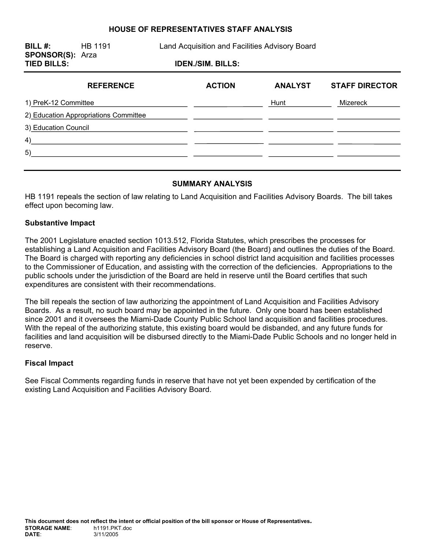### **HOUSE OF REPRESENTATIVES STAFF ANALYSIS**

**BILL #:** HB 1191 Land Acquisition and Facilities Advisory Board **SPONSOR(S):** Arza **TIED BILLS: IDEN./SIM. BILLS: REFERENCE ACTION ANALYST STAFF DIRECTOR** 

| INLI LINLIIVL                         | <b>AVIIVII</b> | лиль I V I | $91711$ PRESIGN |
|---------------------------------------|----------------|------------|-----------------|
| 1) PreK-12 Committee                  |                | Hunt       | Mizereck        |
| 2) Education Appropriations Committee |                |            |                 |
| 3) Education Council                  |                |            |                 |
| 4)                                    |                |            |                 |
| 5)                                    |                |            |                 |
|                                       |                |            |                 |

## **SUMMARY ANALYSIS**

HB 1191 repeals the section of law relating to Land Acquisition and Facilities Advisory Boards. The bill takes effect upon becoming law.

#### **Substantive Impact**

The 2001 Legislature enacted section 1013.512, Florida Statutes, which prescribes the processes for establishing a Land Acquisition and Facilities Advisory Board (the Board) and outlines the duties of the Board. The Board is charged with reporting any deficiencies in school district land acquisition and facilities processes to the Commissioner of Education, and assisting with the correction of the deficiencies. Appropriations to the public schools under the jurisdiction of the Board are held in reserve until the Board certifies that such expenditures are consistent with their recommendations.

The bill repeals the section of law authorizing the appointment of Land Acquisition and Facilities Advisory Boards. As a result, no such board may be appointed in the future. Only one board has been established since 2001 and it oversees the Miami-Dade County Public School land acquisition and facilities procedures. With the repeal of the authorizing statute, this existing board would be disbanded, and any future funds for facilities and land acquisition will be disbursed directly to the Miami-Dade Public Schools and no longer held in reserve.

#### **Fiscal Impact**

See Fiscal Comments regarding funds in reserve that have not yet been expended by certification of the existing Land Acquisition and Facilities Advisory Board.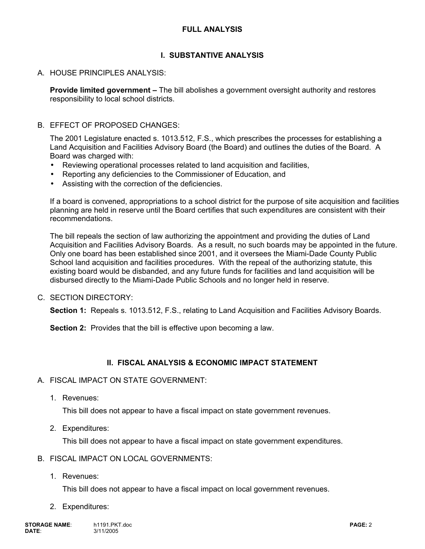# **I. SUBSTANTIVE ANALYSIS**

# A. HOUSE PRINCIPLES ANALYSIS:

**Provide limited government –** The bill abolishes a government oversight authority and restores responsibility to local school districts.

### B. EFFECT OF PROPOSED CHANGES:

The 2001 Legislature enacted s. 1013.512, F.S., which prescribes the processes for establishing a Land Acquisition and Facilities Advisory Board (the Board) and outlines the duties of the Board. A Board was charged with:

- Reviewing operational processes related to land acquisition and facilities,
- Reporting any deficiencies to the Commissioner of Education, and
- Assisting with the correction of the deficiencies.

If a board is convened, appropriations to a school district for the purpose of site acquisition and facilities planning are held in reserve until the Board certifies that such expenditures are consistent with their recommendations.

The bill repeals the section of law authorizing the appointment and providing the duties of Land Acquisition and Facilities Advisory Boards. As a result, no such boards may be appointed in the future. Only one board has been established since 2001, and it oversees the Miami-Dade County Public School land acquisition and facilities procedures. With the repeal of the authorizing statute, this existing board would be disbanded, and any future funds for facilities and land acquisition will be disbursed directly to the Miami-Dade Public Schools and no longer held in reserve.

### C. SECTION DIRECTORY:

**Section 1:** Repeals s. 1013.512, F.S., relating to Land Acquisition and Facilities Advisory Boards.

**Section 2:** Provides that the bill is effective upon becoming a law.

# **II. FISCAL ANALYSIS & ECONOMIC IMPACT STATEMENT**

- A. FISCAL IMPACT ON STATE GOVERNMENT:
	- 1. Revenues:

This bill does not appear to have a fiscal impact on state government revenues.

2. Expenditures:

This bill does not appear to have a fiscal impact on state government expenditures.

# B. FISCAL IMPACT ON LOCAL GOVERNMENTS:

1. Revenues:

This bill does not appear to have a fiscal impact on local government revenues.

2. Expenditures: